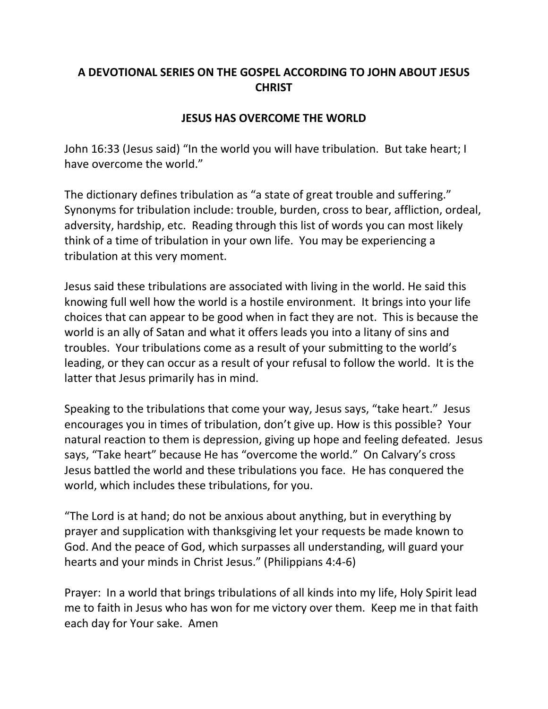## **A DEVOTIONAL SERIES ON THE GOSPEL ACCORDING TO JOHN ABOUT JESUS CHRIST**

## **JESUS HAS OVERCOME THE WORLD**

John 16:33 (Jesus said) "In the world you will have tribulation. But take heart; I have overcome the world."

The dictionary defines tribulation as "a state of great trouble and suffering." Synonyms for tribulation include: trouble, burden, cross to bear, affliction, ordeal, adversity, hardship, etc. Reading through this list of words you can most likely think of a time of tribulation in your own life. You may be experiencing a tribulation at this very moment.

Jesus said these tribulations are associated with living in the world. He said this knowing full well how the world is a hostile environment. It brings into your life choices that can appear to be good when in fact they are not. This is because the world is an ally of Satan and what it offers leads you into a litany of sins and troubles. Your tribulations come as a result of your submitting to the world's leading, or they can occur as a result of your refusal to follow the world. It is the latter that Jesus primarily has in mind.

Speaking to the tribulations that come your way, Jesus says, "take heart." Jesus encourages you in times of tribulation, don't give up. How is this possible? Your natural reaction to them is depression, giving up hope and feeling defeated. Jesus says, "Take heart" because He has "overcome the world." On Calvary's cross Jesus battled the world and these tribulations you face. He has conquered the world, which includes these tribulations, for you.

"The Lord is at hand; do not be anxious about anything, but in everything by prayer and supplication with thanksgiving let your requests be made known to God. And the peace of God, which surpasses all understanding, will guard your hearts and your minds in Christ Jesus." (Philippians 4:4-6)

Prayer: In a world that brings tribulations of all kinds into my life, Holy Spirit lead me to faith in Jesus who has won for me victory over them. Keep me in that faith each day for Your sake. Amen